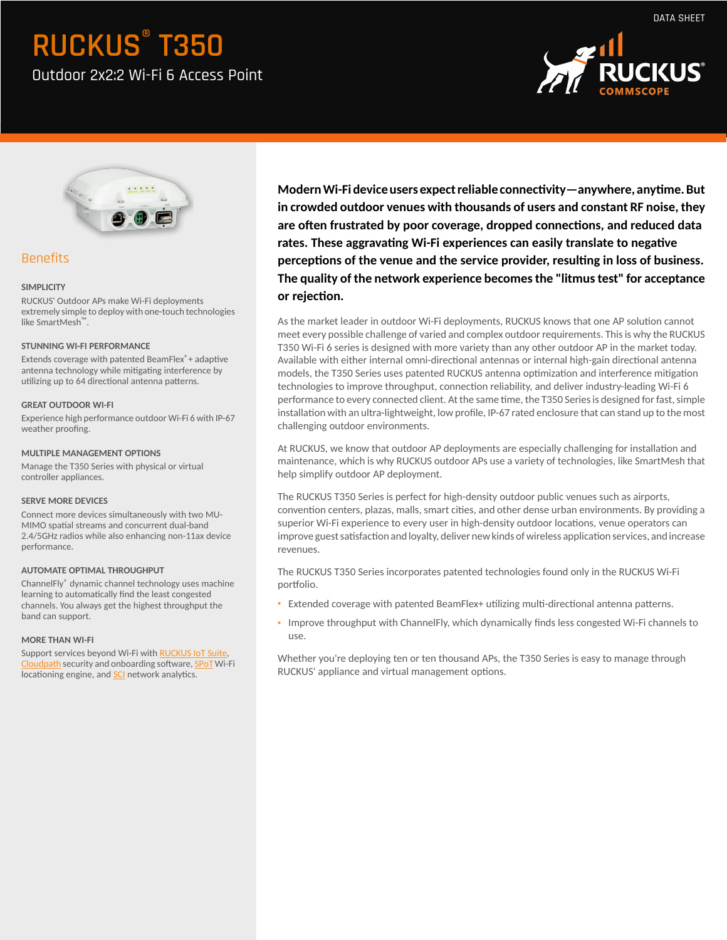Outdoor 2x2:2 Wi-Fi 6 Access Point





### Benefits

### **SIMPLICITY**

RUCKUS' Outdoor APs make Wi-Fi deployments extremely simple to deploy with one-touch technologies like SmartMesh™.

### **STUNNING WI-FI PERFORMANCE**

Extends coverage with patented BeamFlex®+ adaptive antenna technology while mitigating interference by utilizing up to 64 directional antenna patterns.

### **GREAT OUTDOOR WI-FI**

Experience high performance outdoor Wi-Fi 6 with IP-67 weather proofing.

### **MULTIPLE MANAGEMENT OPTIONS**

Manage the T350 Series with physical or virtual controller appliances.

### **SERVE MORE DEVICES**

Connect more devices simultaneously with two MU-MIMO spatial streams and concurrent dual-band 2.4/5GHz radios while also enhancing non-11ax device performance.

### **AUTOMATE OPTIMAL THROUGHPUT**

ChannelFly® dynamic channel technology uses machine learning to automatically find the least congested channels. You always get the highest throughput the band can support.

### **MORE THAN WI-FI**

Support services beyond Wi-Fi with **[RUCKUS IoT Suite](https://www.ruckuswireless.com/products/iot)**, [Cloudpath](https://www.ruckuswireless.com/products/smart-wireless-services/cloudpath) security and onboarding software, [SPoT](https://www.ruckuswireless.com/products/smart-wireless-services/location-services) Wi-Fi locationing engine, and [SCI](https://www.ruckuswireless.com/products/smart-wireless-services/analytics) network analytics.

Modern Wi-Fi device users expect reliable connectivity — anywhere, anytime. But **in crowded outdoor venues with thousands of users and constant RF noise, they** are often frustrated by poor coverage, dropped connections, and reduced data rates. These aggravating Wi-Fi experiences can easily translate to negative perceptions of the venue and the service provider, resulting in loss of business. **The quality of the network experience becomes the "litmus test" for acceptance** or rejection.

As the market leader in outdoor Wi-Fi deployments, RUCKUS knows that one AP solution cannot meet every possible challenge of varied and complex outdoor requirements. This is why the RUCKUS T350 Wi-Fi 6 series is designed with more variety than any other outdoor AP in the market today. Available with either internal omni-directional antennas or internal high-gain directional antenna models, the T350 Series uses patented RUCKUS antenna optimization and interference mitigation technologies to improve throughput, connection reliability, and deliver industry-leading Wi-Fi 6 performance to every connected client. At the same time, the T350 Series is designed for fast, simple installation with an ultra-lightweight, low profile, IP-67 rated enclosure that can stand up to the most challenging outdoor environments.

At RUCKUS, we know that outdoor AP deployments are especially challenging for installation and maintenance, which is why RUCKUS outdoor APs use a variety of technologies, like SmartMesh that help simplify outdoor AP deployment.

The RUCKUS T350 Series is perfect for high-density outdoor public venues such as airports, convention centers, plazas, malls, smart cities, and other dense urban environments. By providing a superior Wi-Fi experience to every user in high-density outdoor locations, venue operators can improve guest satisfaction and loyalty, deliver new kinds of wireless application services, and increase revenues.

The RUCKUS T350 Series incorporates patented technologies found only in the RUCKUS Wi-Fi portfolio.

- Extended coverage with patented BeamFlex+ utilizing multi-directional antenna patterns.
- Improve throughput with ChannelFly, which dynamically finds less congested Wi-Fi channels to use.

Whether you're deploying ten or ten thousand APs, the T350 Series is easy to manage through RUCKUS' appliance and virtual management options.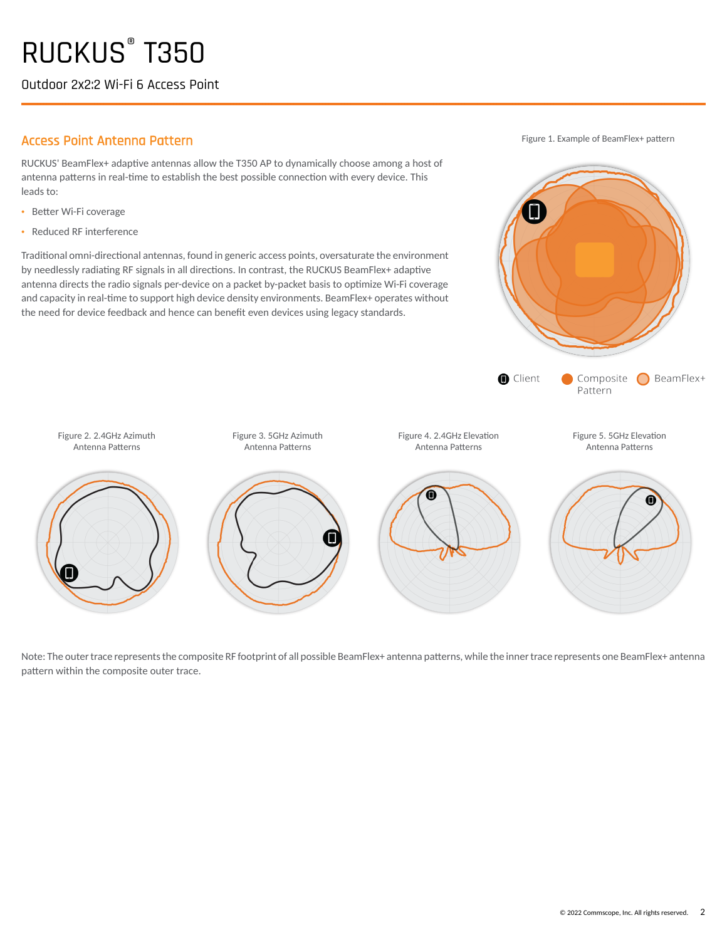Outdoor 2x2:2 Wi-Fi 6 Access Point

### Access Point Antenna Pattern

Figure 2. 2.4GHz Azimuth Antenna Patterns

RUCKUS' BeamFlex+ adaptive antennas allow the T350 AP to dynamically choose among a host of antenna patterns in real-time to establish the best possible connection with every device. This leads to:

- Better Wi-Fi coverage
- · Reduced RF interference

Traditional omni-directional antennas, found in generic access points, oversaturate the environment by needlessly radiating RF signals in all directions. In contrast, the RUCKUS BeamFlex+ adaptive antenna directs the radio signals per-device on a packet by-packet basis to optimize Wi-Fi coverage and capacity in real-time to support high device density environments. BeamFlex+ operates without the need for device feedback and hence can benefit even devices using legacy standards.

Figure 1. Example of BeamFlex+ pattern



Note: The outer trace represents the composite RF footprint of all possible BeamFlex+ antenna patterns, while the inner trace represents one BeamFlex+ antenna pattern within the composite outer trace.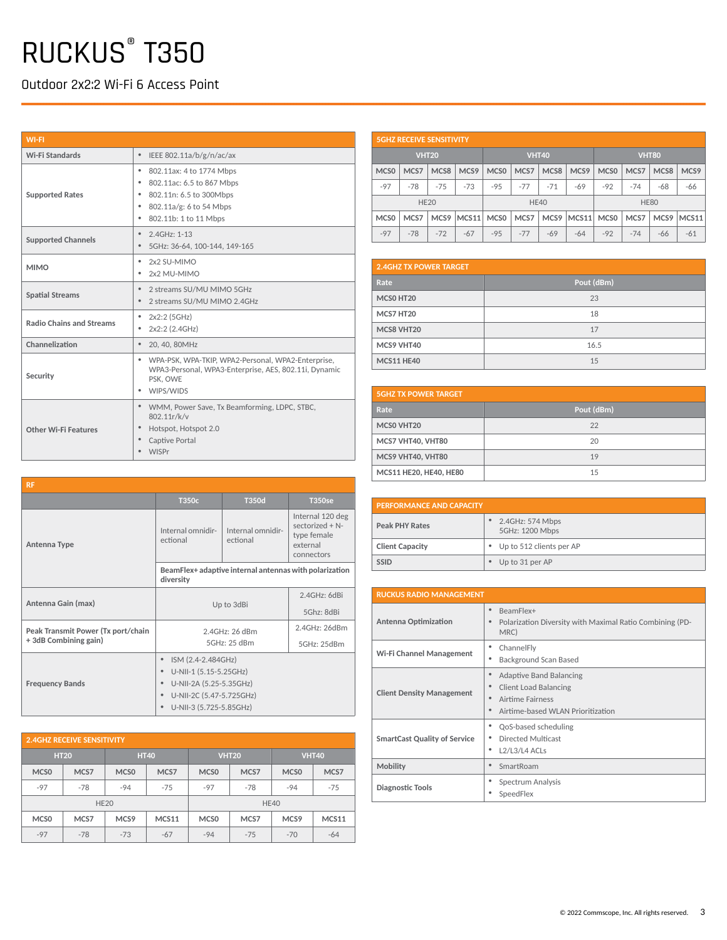Outdoor 2x2:2 Wi-Fi 6 Access Point

| <b>WI-FI</b>                    |                                                                                                                                                         |  |  |
|---------------------------------|---------------------------------------------------------------------------------------------------------------------------------------------------------|--|--|
| Wi-Fi Standards                 | $\bullet$<br>IEEE 802.11a/b/g/n/ac/ax                                                                                                                   |  |  |
| <b>Supported Rates</b>          | 802.11ax: 4 to 1774 Mbps<br>٠<br>٠<br>802.11ac: 6.5 to 867 Mbps<br>• 802.11n: 6.5 to 300Mbps<br>• 802.11a/g: 6 to 54 Mbps<br>٠<br>802.11b: 1 to 11 Mbps |  |  |
| <b>Supported Channels</b>       | 2.4GHz: 1-13<br>$\bullet$<br>$\bullet$<br>5GHz: 36-64, 100-144, 149-165                                                                                 |  |  |
| <b>MIMO</b>                     | 2x2 SU-MIMO<br>٠<br>٠<br>2x2 MU-MIMO                                                                                                                    |  |  |
| <b>Spatial Streams</b>          | 2 streams SU/MU MIMO 5GHz<br>$\bullet$<br>2 streams SU/MU MIMO 2.4GHz<br>$\bullet$                                                                      |  |  |
| <b>Radio Chains and Streams</b> | 2x2:2 (5GHz)<br>٠<br>2x2:2 (2.4GHz)<br>٠                                                                                                                |  |  |
| Channelization                  | $\bullet$<br>20, 40, 80MHz                                                                                                                              |  |  |
| Security                        | WPA-PSK, WPA-TKIP, WPA2-Personal, WPA2-Enterprise,<br>٠<br>WPA3-Personal, WPA3-Enterprise, AES, 802.11i, Dynamic<br>PSK, OWE<br>WIPS/WIDS<br>٠          |  |  |
| Other Wi-Fi Features            | • WMM, Power Save, Tx Beamforming, LDPC, STBC,<br>802.11r/k/v<br>Hotspot, Hotspot 2.0<br>۰<br>Captive Portal<br>٠<br>$\bullet$<br>WISPr                 |  |  |

|                  | <b>5GHZ RECEIVE SENSITIVITY</b> |                  |       |                  |       |                  |                  |                  |       |                  |       |
|------------------|---------------------------------|------------------|-------|------------------|-------|------------------|------------------|------------------|-------|------------------|-------|
| <b>VHT20</b>     |                                 |                  |       | <b>VHT40</b>     |       |                  | <b>VHT80</b>     |                  |       |                  |       |
| MCS <sub>0</sub> | MCS7                            | MCS <sub>8</sub> | MCS9  | MCS <sub>0</sub> | MCS7  | MCS <sub>8</sub> | MCS <sub>9</sub> | MCS <sub>0</sub> | MCS7  | MCS <sub>8</sub> | MCS9  |
| $-97$            | $-78$                           | $-75$            | $-73$ | $-95$            | $-77$ | $-71$            | $-69$            | $-92$            | $-74$ | $-68$            | -66   |
|                  | <b>HE20</b>                     |                  |       |                  |       | <b>HE40</b>      |                  |                  |       | <b>HE80</b>      |       |
| MCS <sub>0</sub> | MCS7                            | MCS9             | MCS11 | MCS <sub>0</sub> | MCS7  | MCS <sub>9</sub> | MCS11            | MCS <sub>0</sub> | MCS7  | MCS <sub>9</sub> | MCS11 |
| $-97$            | $-78$                           | $-72$            | $-67$ | $-95$            | $-77$ | -69              | $-64$            | $-92$            | $-74$ | -66              | $-61$ |

| <b>2.4GHZ TX POWER TARGET</b> |            |  |  |  |
|-------------------------------|------------|--|--|--|
| Rate                          | Pout (dBm) |  |  |  |
| MCS0 HT20                     | 23         |  |  |  |
| MCS7 HT20                     | 18         |  |  |  |
| MCS8 VHT20                    | 17         |  |  |  |
| MCS9 VHT40                    | 16.5       |  |  |  |
| <b>MCS11 HE40</b>             | 15         |  |  |  |

| <b>5GHZ TX POWER TARGET</b> |            |  |  |  |
|-----------------------------|------------|--|--|--|
| Rate                        | Pout (dBm) |  |  |  |
| MCSO VHT20                  | 22         |  |  |  |
| MCS7 VHT40, VHT80           | 20         |  |  |  |
| MCS9 VHT40, VHT80           | 19         |  |  |  |
| MCS11 HE20, HE40, HE80      | 15         |  |  |  |

| <b>PERFORMANCE AND CAPACITY</b> |                                     |  |  |
|---------------------------------|-------------------------------------|--|--|
| <b>Peak PHY Rates</b>           | 2.4GHz: 574 Mbps<br>5GHz: 1200 Mbps |  |  |
| <b>Client Capacity</b>          | • Up to 512 clients per AP          |  |  |
| <b>SSID</b>                     | Up to 31 per AP                     |  |  |

| <b>RUCKUS RADIO MANAGEMENT</b>      |                                                                                                                                      |  |  |  |
|-------------------------------------|--------------------------------------------------------------------------------------------------------------------------------------|--|--|--|
| <b>Antenna Optimization</b>         | BeamFlex+<br>۰<br>Polarization Diversity with Maximal Ratio Combining (PD-<br>٠<br>MRC)                                              |  |  |  |
| Wi-Fi Channel Management            | ChannelFly<br>٠<br>Background Scan Based<br>٠                                                                                        |  |  |  |
| <b>Client Density Management</b>    | Adaptive Band Balancing<br>۰<br><b>Client Load Balancing</b><br>۰<br>Airtime Fairness<br>٠<br>Airtime-based WLAN Prioritization<br>٠ |  |  |  |
| <b>SmartCast Quality of Service</b> | QoS-based scheduling<br>٠<br>Directed Multicast<br>٠<br>$L2/L3/L4$ ACLs<br>٠                                                         |  |  |  |
| <b>Mobility</b>                     | SmartRoam<br>٠                                                                                                                       |  |  |  |
| Diagnostic Tools                    | Spectrum Analysis<br>٠<br>SpeedFlex<br>٠                                                                                             |  |  |  |

| <b>RF</b>                          |                                                                     |                               |                                                                              |  |  |
|------------------------------------|---------------------------------------------------------------------|-------------------------------|------------------------------------------------------------------------------|--|--|
|                                    | T350c                                                               | <b>T350d</b>                  | <b>T350se</b>                                                                |  |  |
| Antenna Type                       | Internal omnidir-<br>ectional                                       | Internal omnidir-<br>ectional | Internal 120 deg<br>sectorized + N-<br>type female<br>external<br>connectors |  |  |
|                                    | BeamFlex+ adaptive internal antennas with polarization<br>diversity |                               |                                                                              |  |  |
|                                    |                                                                     | 2.4GHz: 6dBi                  |                                                                              |  |  |
| Antenna Gain (max)                 | Up to 3dBi                                                          | 5Ghz: 8dBi                    |                                                                              |  |  |
| Peak Transmit Power (Tx port/chain | 2.4GHz: 26 dBm                                                      | 2.4GHz: 26dBm                 |                                                                              |  |  |
| +3dB Combining gain)               | 5GHz: 25 dBm                                                        | 5GHz: 25dBm                   |                                                                              |  |  |
|                                    | ISM (2.4-2.484GHz)<br>۰                                             |                               |                                                                              |  |  |
|                                    | U-NII-1 (5.15-5.25GHz)<br>$\bullet$                                 |                               |                                                                              |  |  |
| <b>Frequency Bands</b>             | U-NII-2A (5.25-5.35GHz)                                             |                               |                                                                              |  |  |
|                                    | U-NII-2C (5.47-5.725GHz)<br>U-NII-3 (5.725-5.85GHz)                 |                               |                                                                              |  |  |
|                                    |                                                                     |                               |                                                                              |  |  |

| <b>2.4GHZ RECEIVE SENSITIVITY</b> |             |                  |              |                  |             |                  |              |
|-----------------------------------|-------------|------------------|--------------|------------------|-------------|------------------|--------------|
|                                   | <b>HT20</b> | <b>HT40</b>      |              | <b>VHT20</b>     |             |                  | <b>VHT40</b> |
| MCS <sub>0</sub>                  | MCS7        | MCS <sub>0</sub> | MCS7         | MCS <sub>0</sub> | MCS7        | MCS <sub>0</sub> | MCS7         |
| $-97$                             | $-78$       | $-94$            | $-75$        | $-97$            | $-78$       | $-94$            | $-75$        |
| <b>HE20</b>                       |             |                  |              |                  | <b>HE40</b> |                  |              |
| MCS <sub>0</sub>                  | MCS7        | MCS9             | <b>MCS11</b> | MCS <sub>0</sub> | MCS7        | MCS9             | <b>MCS11</b> |
| $-97$                             | $-78$       | $-73$            | $-67$        | $-94$            | $-75$       | $-70$            | $-64$        |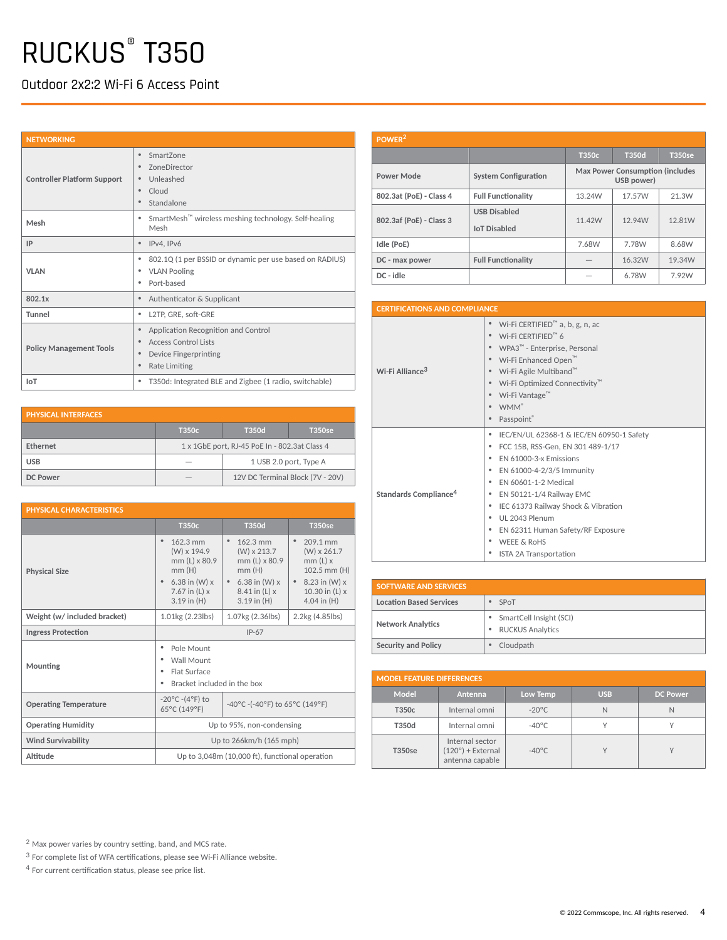Outdoor 2x2:2 Wi-Fi 6 Access Point

| <b>NETWORKING</b>                  |                                                                                                                                           |
|------------------------------------|-------------------------------------------------------------------------------------------------------------------------------------------|
| <b>Controller Platform Support</b> | SmartZone<br>۰<br>ZoneDirector<br>٠<br>Unleashed<br>۰<br>$\bullet$<br>Cloud<br>Standalone<br>$\bullet$                                    |
| Mesh                               | SmartMesh <sup>™</sup> wireless meshing technology. Self-healing<br>٠<br>Mesh                                                             |
| IP                                 | IPv4, IPv6<br>۰                                                                                                                           |
| <b>VLAN</b>                        | 802.1Q (1 per BSSID or dynamic per use based on RADIUS)<br>٠<br><b>VLAN Pooling</b><br>٠<br>Port-based<br>٠                               |
| 802.1x                             | Authenticator & Supplicant<br>۰                                                                                                           |
| Tunnel                             | L2TP, GRE, soft-GRE<br>٠                                                                                                                  |
| <b>Policy Management Tools</b>     | Application Recognition and Control<br>$\bullet$<br>Access Control Lists<br>$\bullet$<br>Device Fingerprinting<br>۰<br>Rate Limiting<br>٠ |
| <b>IoT</b>                         | T350d: Integrated BLE and Zigbee (1 radio, switchable)<br>۰                                                                               |

| <b>PHYSICAL INTERFACES.</b> |       |                                               |               |  |  |  |
|-----------------------------|-------|-----------------------------------------------|---------------|--|--|--|
|                             | T350c | <b>T350d</b>                                  | <b>T350se</b> |  |  |  |
| <b>Fthernet</b>             |       | 1 x 1GbE port, RJ-45 PoE In - 802.3at Class 4 |               |  |  |  |
| <b>USB</b>                  |       | 1 USB 2.0 port, Type A                        |               |  |  |  |
| DC Power                    |       | 12V DC Terminal Block (7V - 20V)              |               |  |  |  |

| PHYSICAL CHARACTERISTICS     |                                                                                                            |                                                                                                                            |                                                                                                                                  |  |  |
|------------------------------|------------------------------------------------------------------------------------------------------------|----------------------------------------------------------------------------------------------------------------------------|----------------------------------------------------------------------------------------------------------------------------------|--|--|
|                              | T350 <sub>c</sub>                                                                                          | <b>T350d</b>                                                                                                               | <b>T350se</b>                                                                                                                    |  |  |
| <b>Physical Size</b>         | 162.3 mm<br>(W) x 194.9<br>mm (L) x 80.9<br>mm(H)<br>6.38 in $(W)$ x<br>7.67 in $(L)$ x<br>$3.19$ in $(H)$ | ٠<br>162.3 mm<br>(W) x 213.7<br>mm (L) x 80.9<br>mm(H)<br>6.38 in (W) x<br>$\bullet$<br>$8.41$ in (L) x<br>$3.19$ in $(H)$ | $\bullet$<br>209.1 mm<br>$(W) \times 261.7$<br>$mm(L)$ x<br>102.5 mm (H)<br>• $8.23$ in (W) x<br>10.30 in (L) x<br>4.04 in $(H)$ |  |  |
| Weight (w/ included bracket) | 1.01kg (2.23lbs)                                                                                           | 1.07kg (2.36lbs)                                                                                                           | 2.2kg (4.85lbs)                                                                                                                  |  |  |
| <b>Ingress Protection</b>    | $IP-67$                                                                                                    |                                                                                                                            |                                                                                                                                  |  |  |
| Mounting                     | Pole Mount<br>Wall Mount<br>Flat Surface<br>Bracket included in the box                                    |                                                                                                                            |                                                                                                                                  |  |  |
| <b>Operating Temperature</b> | $-20^{\circ}$ C $-(4^{\circ}F)$ to<br>-40°C -(-40°F) to 65°C (149°F)<br>65°C (149°F)                       |                                                                                                                            |                                                                                                                                  |  |  |
| <b>Operating Humidity</b>    | Up to 95%, non-condensing                                                                                  |                                                                                                                            |                                                                                                                                  |  |  |
| <b>Wind Survivability</b>    | Up to 266km/h (165 mph)                                                                                    |                                                                                                                            |                                                                                                                                  |  |  |
| Altitude                     | Up to 3,048m (10,000 ft), functional operation                                                             |                                                                                                                            |                                                                                                                                  |  |  |

| POWER <sup>2</sup>      |                                            |                                                       |              |               |  |  |
|-------------------------|--------------------------------------------|-------------------------------------------------------|--------------|---------------|--|--|
|                         |                                            | T350c                                                 | <b>T350d</b> | <b>T350se</b> |  |  |
| Power Mode              | <b>System Configuration</b>                | <b>Max Power Consumption (includes)</b><br>USB power) |              |               |  |  |
| 802.3at (PoE) - Class 4 | <b>Full Functionality</b>                  | 13.24W                                                | 17.57W       | 21.3W         |  |  |
| 802.3af (PoE) - Class 3 | <b>USB Disabled</b><br><b>IoT Disabled</b> | 11.42W                                                | 12.94W       | 12.81W        |  |  |
| Idle (PoE)              |                                            | 7.68W                                                 | 7.78W        | 8.68W         |  |  |
| DC - max power          | <b>Full Functionality</b>                  |                                                       | 16.32W       | 19.34W        |  |  |
| DC - idle               |                                            |                                                       | 6.78W        | 7.92W         |  |  |

| <b>CERTIFICATIONS AND COMPLIANCE</b> |                                                                                                                                                                                                                                                                                                                                                            |  |  |  |
|--------------------------------------|------------------------------------------------------------------------------------------------------------------------------------------------------------------------------------------------------------------------------------------------------------------------------------------------------------------------------------------------------------|--|--|--|
| Wi-Fi Alliance <sup>3</sup>          | • Wi-Fi CERTIFIED <sup><math>m</math></sup> a, b, g, n, ac<br>Wi-Fi CFRTIFIFD™ 6<br>● WPA3 <sup>™</sup> - Enterprise, Personal<br>Wi-Fi Enhanced Open <sup>™</sup><br>Wi-Fi Agile Multiband™<br>Wi-Fi Optimized Connectivity <sup>™</sup><br>Wi-Fi Vantage™<br><b>WMM</b> <sup>®</sup><br>Passpoint                                                        |  |  |  |
| Standards Compliance <sup>4</sup>    | IEC/EN/UL 62368-1 & IEC/EN 60950-1 Safety<br>FCC 15B, RSS-Gen, EN 301 489-1/17<br>FN 61000-3-x Emissions<br>EN 61000-4-2/3/5 Immunity<br>٠<br>EN 60601-1-2 Medical<br>EN 50121-1/4 Railway EMC<br>٠<br>IEC 61373 Railway Shock & Vibration<br>UL 2043 Plenum<br>٠<br>EN 62311 Human Safety/RF Exposure<br><b>WEEE &amp; RoHS</b><br>ISTA 2A Transportation |  |  |  |

| <b>SOFTWARE AND SERVICES</b>   |                                                    |
|--------------------------------|----------------------------------------------------|
| <b>Location Based Services</b> | SPoT                                               |
| <b>Network Analytics</b>       | SmartCell Insight (SCI)<br><b>RUCKUS Analytics</b> |
| <b>Security and Policy</b>     | Cloudpath                                          |

| <b>MODEL FEATURE DIFFERENCES</b> |                                                                |                 |            |                 |
|----------------------------------|----------------------------------------------------------------|-----------------|------------|-----------------|
| Model                            | Antenna                                                        | Low Temp        | <b>USB</b> | <b>DC Power</b> |
| T350c                            | Internal omni                                                  | $-20^{\circ}$ C | N          | N               |
| T350d                            | Internal omni                                                  | $-40^{\circ}$ C | ν          |                 |
| <b>T350se</b>                    | Internal sector<br>$(120^\circ)$ + External<br>antenna capable | $-40^{\circ}$ C |            |                 |

 $2$  Max power varies by country setting, band, and MCS rate.

 $3$  For complete list of WFA certifications, please see Wi-Fi Alliance website.

 $^4$  For current certification status, please see price list.